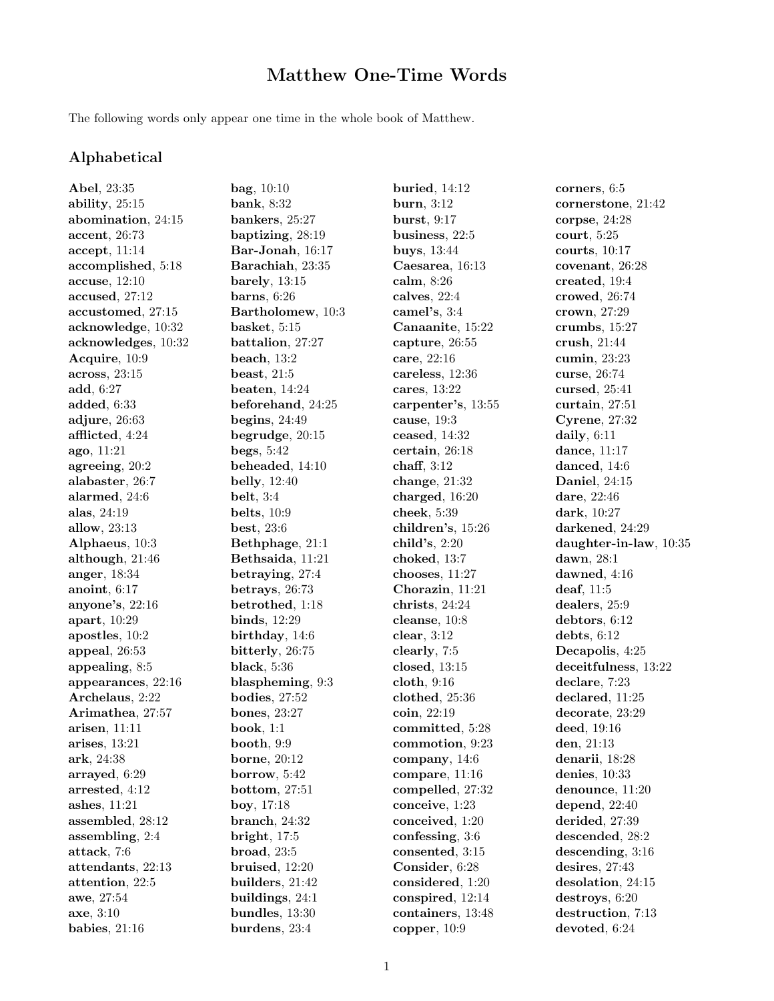## Matthew One-Time Words

The following words only appear one time in the whole book of Matthew.

## Alphabetical

Abel, 23:35 ability, 25:15 abomination, 24:15 accent, 26:73 accept, 11:14 accomplished, 5:18 accuse, 12:10 accused, 27:12 accustomed, 27:15 acknowledge, 10:32 acknowledges, 10:32 Acquire, 10:9 across, 23:15 add, 6:27 added, 6:33 adjure, 26:63 afflicted, 4:24 ago, 11:21 agreeing, 20:2 alabaster, 26:7 alarmed, 24:6 alas, 24:19 allow, 23:13 Alphaeus, 10:3 although, 21:46 anger, 18:34 anoint, 6:17 anyone's, 22:16 apart, 10:29 apostles, 10:2 appeal, 26:53 appealing, 8:5 appearances, 22:16 Archelaus, 2:22 Arimathea, 27:57 arisen, 11:11 arises, 13:21 ark, 24:38 arrayed, 6:29 arrested, 4:12 ashes, 11:21 assembled, 28:12 assembling, 2:4 attack, 7:6 attendants, 22:13 attention, 22:5 awe, 27:54 axe, 3:10 babies, 21:16

bag, 10:10 bank, 8:32 bankers, 25:27 baptizing, 28:19 Bar-Jonah, 16:17 Barachiah, 23:35 barely, 13:15 barns, 6:26 Bartholomew, 10:3 basket, 5:15 battalion, 27:27 beach, 13:2 beast, 21:5 beaten, 14:24 beforehand, 24:25 begins, 24:49 begrudge, 20:15 begs, 5:42 beheaded, 14:10 belly, 12:40 belt, 3:4 belts, 10:9 best, 23:6 Bethphage, 21:1 Bethsaida, 11:21 betraying, 27:4 betrays, 26:73 betrothed, 1:18 binds, 12:29 birthday, 14:6 bitterly, 26:75 black, 5:36 blaspheming, 9:3 bodies, 27:52 bones, 23:27 book, 1:1 booth, 9:9 borne, 20:12 borrow, 5:42 bottom, 27:51 boy, 17:18 branch, 24:32 bright, 17:5 broad, 23:5 bruised, 12:20 builders, 21:42 buildings, 24:1 bundles, 13:30 burdens, 23:4

buried, 14:12 burn, 3:12 burst, 9:17 business, 22:5 buys, 13:44 Caesarea, 16:13 calm, 8:26 calves, 22:4 camel's, 3:4 Canaanite, 15:22 capture, 26:55 care, 22:16 careless, 12:36 cares, 13:22 carpenter's, 13:55 cause, 19:3 ceased, 14:32 certain, 26:18 chaff, 3:12 change, 21:32 charged, 16:20 cheek, 5:39 children's, 15:26 child's, 2:20 choked, 13:7 chooses, 11:27 Chorazin, 11:21 christs, 24:24 cleanse, 10:8 clear, 3:12 clearly, 7:5 closed, 13:15 cloth, 9:16 clothed, 25:36 coin, 22:19 committed, 5:28 commotion, 9:23 company, 14:6 compare, 11:16 compelled, 27:32 conceive, 1:23 conceived, 1:20 confessing, 3:6 consented, 3:15 Consider, 6:28 considered, 1:20 conspired, 12:14 containers, 13:48 copper, 10:9

corners, 6:5 cornerstone, 21:42 corpse, 24:28 court, 5:25 courts, 10:17 covenant, 26:28 created, 19:4 crowed, 26:74 crown, 27:29 crumbs, 15:27 crush, 21:44 cumin, 23:23 curse, 26:74 cursed, 25:41 curtain, 27:51 Cyrene, 27:32 daily, 6:11 dance, 11:17 danced, 14:6 Daniel, 24:15 dare, 22:46 dark, 10:27 darkened, 24:29 daughter-in-law, 10:35 dawn, 28:1 dawned, 4:16 deaf, 11:5 dealers, 25:9 debtors, 6:12 debts, 6:12 Decapolis, 4:25 deceitfulness, 13:22 declare, 7:23 declared, 11:25 decorate, 23:29 deed, 19:16 den, 21:13 denarii, 18:28 denies, 10:33 denounce, 11:20 depend, 22:40 derided, 27:39 descended, 28:2 descending, 3:16 desires, 27:43 desolation, 24:15 destroys, 6:20 destruction, 7:13 devoted, 6:24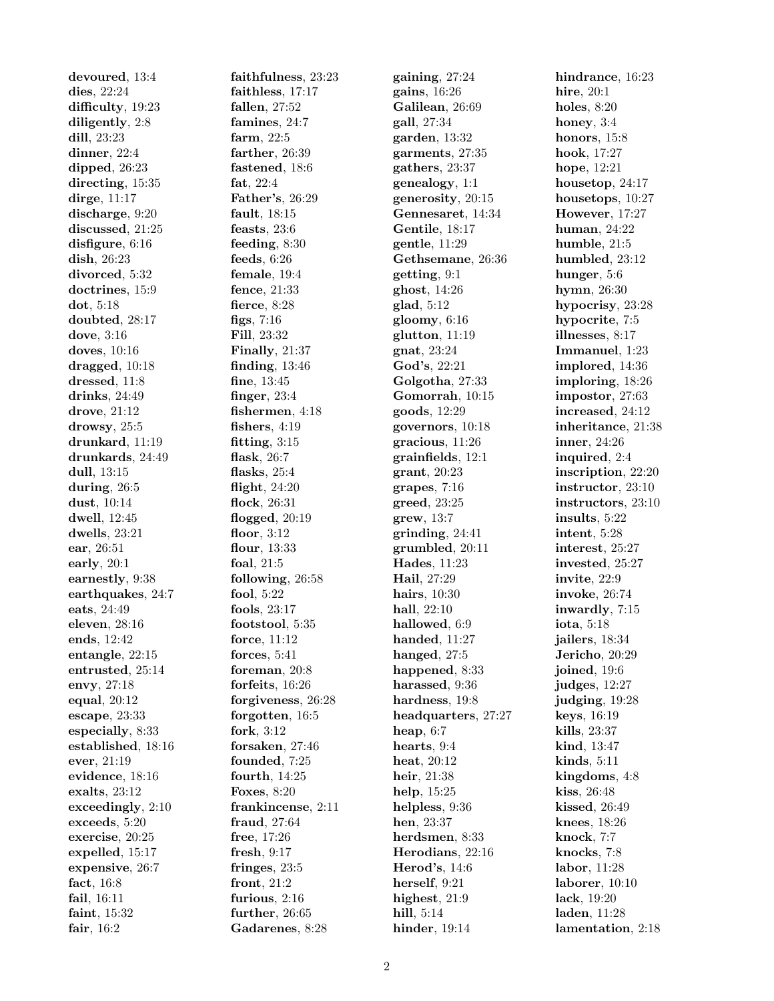devoured, 13:4 dies, 22:24 difficulty, 19:23 diligently, 2:8 dill, 23:23 dinner, 22:4 dipped, 26:23 directing, 15:35 dirge, 11:17 discharge, 9:20 discussed, 21:25 disfigure, 6:16 dish, 26:23 divorced, 5:32 doctrines, 15:9 dot, 5:18 doubted, 28:17 dove, 3:16 doves, 10:16 dragged, 10:18 dressed, 11:8 drinks, 24:49 drove, 21:12 drowsy, 25:5 drunkard, 11:19 drunkards, 24:49 dull, 13:15 during, 26:5 dust, 10:14 dwell, 12:45 dwells, 23:21 ear, 26:51 early, 20:1 earnestly, 9:38 earthquakes, 24:7 eats, 24:49 eleven, 28:16 ends, 12:42 entangle, 22:15 entrusted, 25:14 envy, 27:18 equal, 20:12 escape, 23:33 especially, 8:33 established, 18:16 ever, 21:19 evidence, 18:16 exalts, 23:12 exceedingly, 2:10 exceeds, 5:20 exercise, 20:25 expelled, 15:17 expensive, 26:7 fact, 16:8 fail, 16:11 faint, 15:32 fair, 16:2

faithfulness, 23:23 faithless, 17:17 fallen, 27:52 famines, 24:7 farm, 22:5 farther, 26:39 fastened, 18:6 fat, 22:4 Father's, 26:29 fault, 18:15 feasts, 23:6 feeding, 8:30 feeds, 6:26 female, 19:4 fence, 21:33 fierce, 8:28 figs, 7:16 Fill, 23:32 Finally, 21:37 finding, 13:46 fine, 13:45 finger, 23:4 fishermen, 4:18 fishers, 4:19 fitting, 3:15 flask, 26:7 flasks, 25:4 flight, 24:20 flock, 26:31 flogged, 20:19 floor, 3:12 flour, 13:33 foal, 21:5 following, 26:58 fool, 5:22 fools, 23:17 footstool, 5:35 force, 11:12 forces, 5:41 foreman, 20:8 forfeits, 16:26 forgiveness, 26:28 forgotten, 16:5 fork, 3:12 forsaken, 27:46 founded, 7:25 fourth, 14:25 Foxes, 8:20 frankincense, 2:11 fraud, 27:64 free, 17:26 fresh, 9:17 fringes, 23:5 front, 21:2 furious, 2:16 further, 26:65 Gadarenes, 8:28

gaining, 27:24 gains, 16:26 Galilean, 26:69 gall, 27:34 garden, 13:32 garments, 27:35 gathers, 23:37 genealogy, 1:1 generosity, 20:15 Gennesaret, 14:34 Gentile, 18:17 gentle, 11:29 Gethsemane, 26:36 getting, 9:1 ghost, 14:26 glad, 5:12 gloomy, 6:16 glutton, 11:19 gnat, 23:24 God's, 22:21 Golgotha, 27:33 Gomorrah, 10:15 goods, 12:29 governors, 10:18 gracious, 11:26 grainfields, 12:1 grant, 20:23 grapes, 7:16 greed, 23:25 grew, 13:7 grinding, 24:41 grumbled, 20:11 Hades, 11:23 Hail, 27:29 hairs, 10:30 hall, 22:10 hallowed, 6:9 handed, 11:27 hanged, 27:5 happened, 8:33 harassed, 9:36 hardness, 19:8 headquarters, 27:27 heap, 6:7 hearts, 9:4 heat, 20:12 heir, 21:38 help, 15:25 helpless, 9:36 hen, 23:37 herdsmen, 8:33 Herodians, 22:16 Herod's, 14:6 herself, 9:21 highest, 21:9 hill, 5:14 hinder, 19:14

hindrance, 16:23 hire, 20:1 holes, 8:20 honey, 3:4 honors, 15:8 hook, 17:27 hope, 12:21 housetop, 24:17 housetops, 10:27 However, 17:27 human, 24:22 humble, 21:5 humbled, 23:12 hunger, 5:6 hymn, 26:30 hypocrisy, 23:28 hypocrite, 7:5 illnesses, 8:17 Immanuel, 1:23 implored, 14:36 imploring, 18:26 impostor, 27:63 increased, 24:12 inheritance, 21:38 inner, 24:26 inquired, 2:4 inscription, 22:20 instructor, 23:10 instructors, 23:10 insults, 5:22 intent, 5:28 interest, 25:27 invested, 25:27 invite, 22:9 invoke, 26:74 inwardly, 7:15 iota, 5:18 jailers, 18:34 Jericho, 20:29 joined, 19:6 judges, 12:27 judging, 19:28 keys, 16:19 kills, 23:37 kind, 13:47 kinds, 5:11 kingdoms, 4:8 kiss, 26:48 kissed, 26:49 knees, 18:26 knock, 7:7 knocks, 7:8 labor, 11:28 laborer, 10:10 lack, 19:20 laden, 11:28 lamentation, 2:18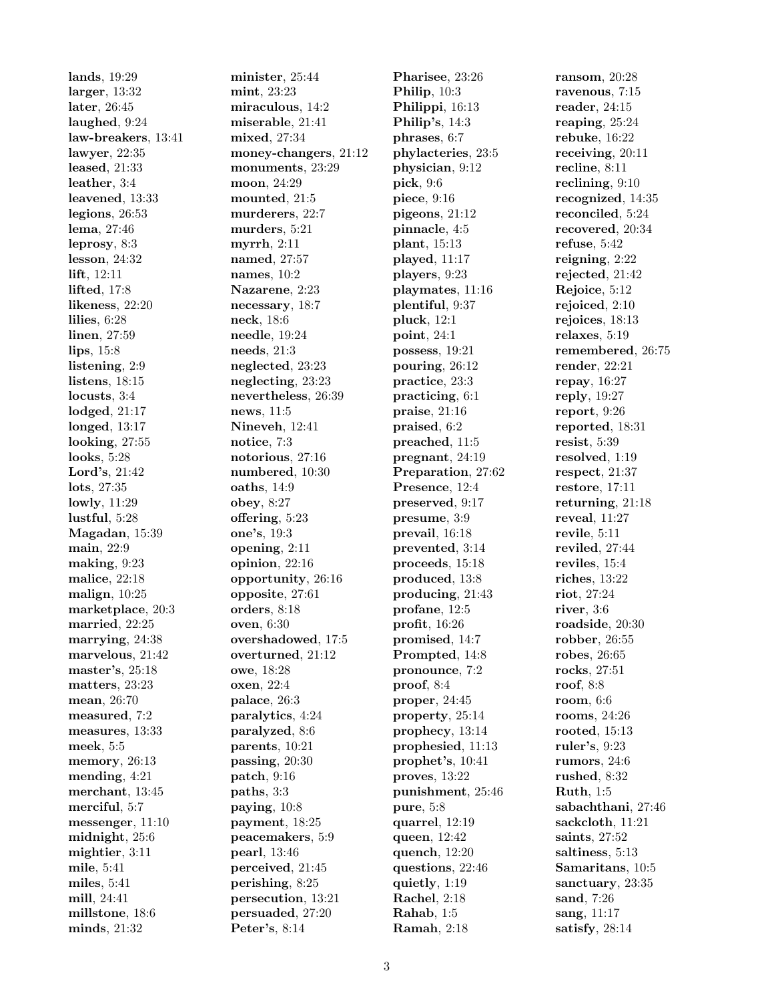lands, 19:29 larger, 13:32 later, 26:45 laughed, 9:24 law-breakers, 13:41 lawyer, 22:35 leased, 21:33 leather, 3:4 leavened, 13:33 legions, 26:53 lema, 27:46 leprosy, 8:3 lesson, 24:32 lift, 12:11 lifted, 17:8 likeness, 22:20 lilies, 6:28 linen, 27:59 lips, 15:8 listening, 2:9 listens, 18:15 locusts, 3:4 lodged, 21:17 longed, 13:17 looking, 27:55 looks, 5:28 Lord's, 21:42 lots, 27:35 lowly, 11:29 lustful, 5:28 Magadan, 15:39 main, 22:9 making, 9:23 malice, 22:18 malign, 10:25 marketplace, 20:3 married, 22:25 marrying, 24:38 marvelous, 21:42 master's, 25:18 matters, 23:23 mean, 26:70 measured, 7:2 measures, 13:33 meek, 5:5 memory, 26:13 mending, 4:21 merchant, 13:45 merciful, 5:7 messenger, 11:10 midnight, 25:6 mightier, 3:11 mile, 5:41 miles, 5:41 mill, 24:41 millstone, 18:6 minds, 21:32

minister, 25:44 mint, 23:23 miraculous, 14:2 miserable, 21:41 mixed, 27:34 money-changers, 21:12 monuments, 23:29 moon, 24:29 mounted, 21:5 murderers, 22:7 murders, 5:21 myrrh, 2:11 named, 27:57 names, 10:2 Nazarene, 2:23 necessary, 18:7 neck, 18:6 needle, 19:24 needs, 21:3 neglected, 23:23 neglecting, 23:23 nevertheless, 26:39 news, 11:5 Nineveh, 12:41 notice, 7:3 notorious, 27:16 numbered, 10:30 oaths, 14:9 obey, 8:27 offering, 5:23 one's, 19:3 opening, 2:11 opinion, 22:16 opportunity, 26:16 opposite, 27:61 orders, 8:18 oven, 6:30 overshadowed, 17:5 overturned, 21:12 owe, 18:28 oxen, 22:4 palace, 26:3 paralytics, 4:24 paralyzed, 8:6 parents, 10:21 passing, 20:30 patch, 9:16 paths, 3:3 paying, 10:8 payment, 18:25 peacemakers, 5:9 pearl, 13:46 perceived, 21:45 perishing, 8:25 persecution, 13:21 persuaded, 27:20 Peter's, 8:14

Pharisee, 23:26 Philip, 10:3 Philippi, 16:13 Philip's, 14:3 phrases, 6:7 phylacteries, 23:5 physician, 9:12 pick, 9:6 piece, 9:16 pigeons, 21:12 pinnacle, 4:5 plant, 15:13 played, 11:17 players, 9:23 playmates, 11:16 plentiful, 9:37 pluck, 12:1 point, 24:1 possess, 19:21 pouring, 26:12 practice, 23:3 practicing, 6:1 praise, 21:16 praised, 6:2 preached, 11:5 pregnant, 24:19 Preparation, 27:62 Presence, 12:4 preserved, 9:17 presume, 3:9 prevail, 16:18 prevented, 3:14 proceeds, 15:18 produced, 13:8 producing, 21:43 profane, 12:5 profit, 16:26 promised, 14:7 Prompted, 14:8 pronounce, 7:2 proof, 8:4 proper, 24:45 property, 25:14 prophecy, 13:14 prophesied, 11:13 prophet's, 10:41 proves, 13:22 punishment, 25:46 pure, 5:8 quarrel, 12:19 queen, 12:42 quench, 12:20 questions, 22:46 quietly, 1:19 Rachel, 2:18 Rahab, 1:5 Ramah, 2:18

ransom, 20:28 ravenous, 7:15 reader, 24:15 reaping, 25:24 rebuke, 16:22 receiving, 20:11 recline, 8:11 reclining, 9:10 recognized, 14:35 reconciled, 5:24 recovered, 20:34 refuse, 5:42 reigning, 2:22 rejected, 21:42 Rejoice, 5:12 rejoiced, 2:10 rejoices, 18:13 relaxes, 5:19 remembered, 26:75 render, 22:21 repay, 16:27 reply, 19:27 report, 9:26 reported, 18:31 resist, 5:39 resolved, 1:19 respect, 21:37 restore, 17:11 returning, 21:18 reveal, 11:27 revile, 5:11 reviled, 27:44 reviles, 15:4 riches, 13:22 riot, 27:24 river, 3:6 roadside, 20:30 robber, 26:55 robes, 26:65 rocks, 27:51 roof, 8:8 room, 6:6 rooms, 24:26 rooted, 15:13 ruler's, 9:23 rumors, 24:6 rushed, 8:32 Ruth, 1:5 sabachthani, 27:46 sackcloth, 11:21 saints, 27:52 saltiness, 5:13 Samaritans, 10:5 sanctuary, 23:35 sand, 7:26 sang, 11:17 satisfy, 28:14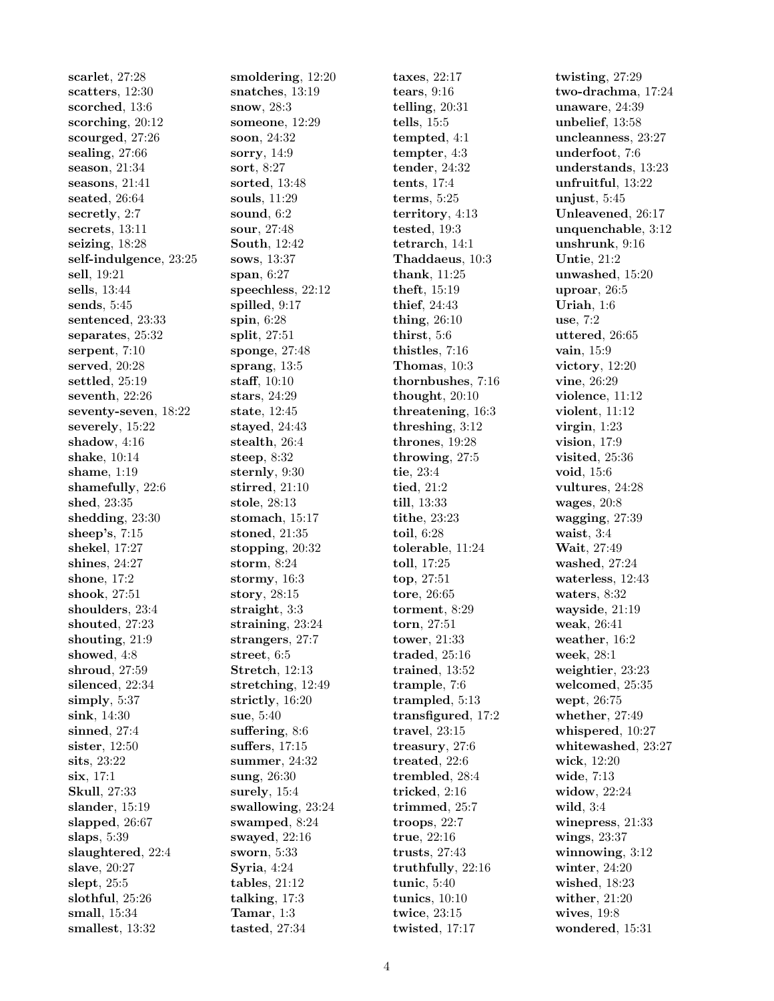scarlet, 27:28 scatters, 12:30 scorched, 13:6 scorching, 20:12 scourged, 27:26 sealing, 27:66 season, 21:34 seasons, 21:41 seated, 26:64 secretly, 2:7 secrets, 13:11 seizing, 18:28 self-indulgence, 23:25 sell, 19:21 sells, 13:44 sends, 5:45 sentenced, 23:33 separates, 25:32 serpent, 7:10 served, 20:28 settled, 25:19 seventh, 22:26 seventy-seven, 18:22 severely, 15:22 shadow, 4:16 shake, 10:14 shame, 1:19 shamefully, 22:6 shed, 23:35 shedding, 23:30 sheep's, 7:15 shekel, 17:27 shines, 24:27 shone, 17:2 shook, 27:51 shoulders, 23:4 shouted, 27:23 shouting, 21:9 showed, 4:8 shroud, 27:59 silenced, 22:34 simply, 5:37 sink, 14:30 sinned, 27:4 sister, 12:50 sits, 23:22 six, 17:1 Skull, 27:33 slander, 15:19 slapped, 26:67 slaps, 5:39 slaughtered, 22:4 slave, 20:27 slept, 25:5 slothful, 25:26 small, 15:34 smallest, 13:32

smoldering, 12:20 snatches, 13:19 snow, 28:3 someone, 12:29 soon, 24:32 sorry, 14:9 sort, 8:27 sorted, 13:48 souls, 11:29 sound, 6:2 sour, 27:48 South, 12:42 sows, 13:37 span, 6:27 speechless, 22:12 spilled, 9:17 spin, 6:28 split, 27:51 sponge, 27:48 sprang, 13:5 staff, 10:10 stars, 24:29 state, 12:45 stayed, 24:43 stealth, 26:4 steep, 8:32 sternly, 9:30 stirred, 21:10 stole, 28:13 stomach, 15:17 stoned, 21:35 stopping, 20:32 storm, 8:24 stormy, 16:3 story, 28:15 straight, 3:3 straining, 23:24 strangers, 27:7 street, 6:5 Stretch, 12:13 stretching, 12:49 strictly, 16:20 sue, 5:40 suffering, 8:6 suffers, 17:15 summer, 24:32 sung, 26:30 surely, 15:4 swallowing, 23:24 swamped, 8:24 swayed, 22:16 sworn, 5:33 Syria, 4:24 tables, 21:12 talking, 17:3 Tamar, 1:3 tasted, 27:34

taxes, 22:17 tears, 9:16 telling, 20:31 tells, 15:5 tempted, 4:1 tempter, 4:3 tender, 24:32 tents, 17:4 terms, 5:25 territory, 4:13 tested, 19:3 tetrarch, 14:1 Thaddaeus, 10:3 thank, 11:25 theft, 15:19 thief, 24:43 thing, 26:10 thirst, 5:6 thistles, 7:16 Thomas, 10:3 thornbushes, 7:16 thought, 20:10 threatening, 16:3 threshing, 3:12 thrones, 19:28 throwing, 27:5 tie, 23:4 tied, 21:2 till, 13:33 tithe, 23:23 toil, 6:28 tolerable, 11:24 toll, 17:25 top, 27:51 tore, 26:65 torment, 8:29 torn, 27:51 tower, 21:33 traded, 25:16 trained, 13:52 trample, 7:6 trampled, 5:13 transfigured, 17:2 travel, 23:15 treasury, 27:6 treated, 22:6 trembled, 28:4 tricked, 2:16 trimmed, 25:7 troops, 22:7 true, 22:16 trusts, 27:43 truthfully, 22:16 tunic, 5:40 tunics, 10:10 twice, 23:15 twisted, 17:17

twisting, 27:29 two-drachma, 17:24 unaware, 24:39 unbelief, 13:58 uncleanness, 23:27 underfoot, 7:6 understands, 13:23 unfruitful, 13:22 unjust, 5:45 Unleavened, 26:17 unquenchable, 3:12 unshrunk, 9:16 Untie, 21:2 unwashed, 15:20 uproar, 26:5 Uriah, 1:6 use, 7:2 uttered, 26:65 vain, 15:9 victory, 12:20 vine, 26:29 violence, 11:12 violent, 11:12 virgin, 1:23 vision, 17:9 visited, 25:36 void, 15:6 vultures, 24:28 wages, 20:8 wagging, 27:39 waist, 3:4 Wait, 27:49 washed, 27:24 waterless, 12:43 waters, 8:32 wayside, 21:19 weak, 26:41 weather, 16:2 week, 28:1 weightier, 23:23 welcomed, 25:35 wept, 26:75 whether, 27:49 whispered, 10:27 whitewashed, 23:27 wick, 12:20 wide, 7:13 widow, 22:24 wild, 3:4 winepress, 21:33 wings, 23:37 winnowing,  $3:12$ winter, 24:20 wished, 18:23 wither, 21:20 wives, 19:8 wondered, 15:31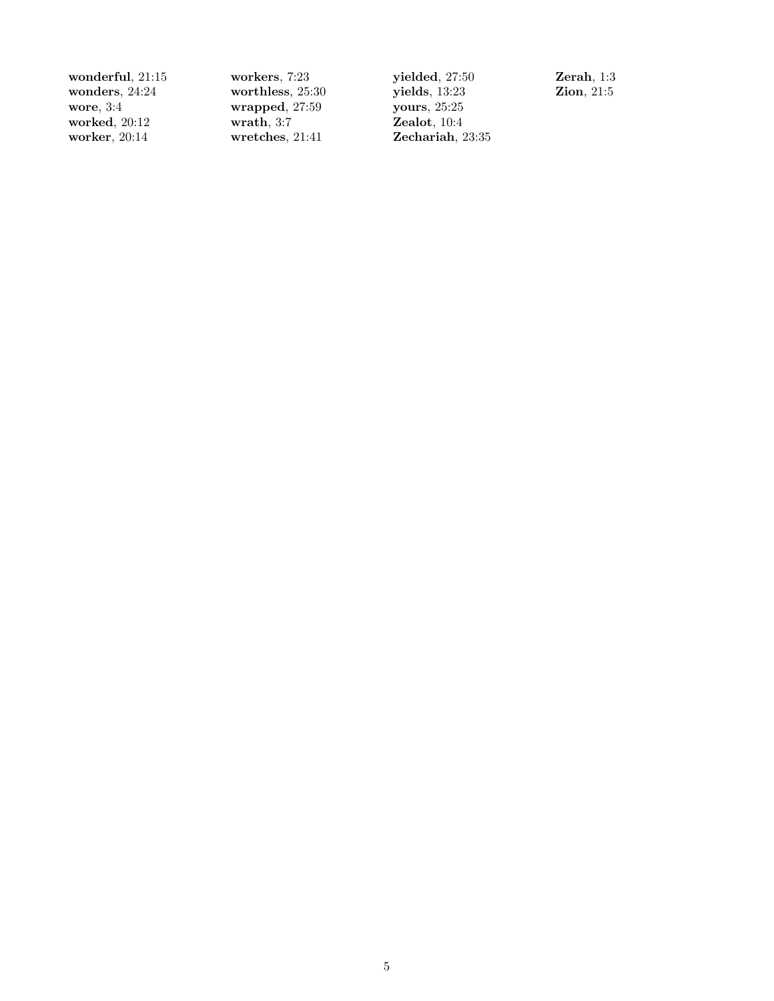wonderful, 21:15 wonders, 24:24 wore, 3:4 worked, 20:12 worker, 20:14

workers, 7:23 worthless, 25:30 wrapped, 27:59 wrath, 3:7 wretches, 21:41

yielded, 27:50 yields, 13:23 yours, 25:25 Zealot, 10:4 Zechariah, 23:35 Zerah, 1:3 Zion, 21:5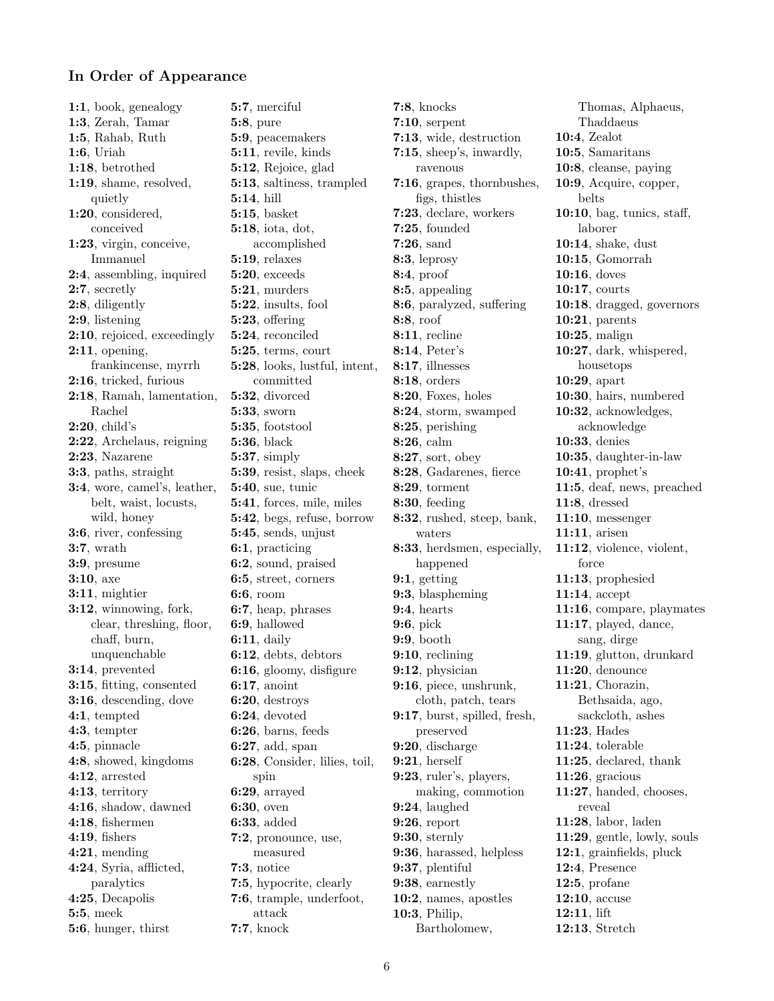## In Order of Appearance

1:1, book, genealogy 1:3, Zerah, Tamar 1:5, Rahab, Ruth 1:6, Uriah 1:18, betrothed 1:19, shame, resolved, quietly 1:20, considered, conceived 1:23, virgin, conceive, Immanuel 2:4, assembling, inquired 2:7, secretly 2:8, diligently 2:9, listening 2:10, rejoiced, exceedingly 2:11, opening, frankincense, myrrh 2:16, tricked, furious 2:18, Ramah, lamentation, Rachel 2:20, child's 2:22, Archelaus, reigning 2:23, Nazarene 3:3, paths, straight 3:4, wore, camel's, leather, belt, waist, locusts, wild, honey 3:6, river, confessing 3:7, wrath 3:9, presume 3:10, axe 3:11, mightier 3:12, winnowing, fork, clear, threshing, floor, chaff, burn, unquenchable 3:14, prevented 3:15, fitting, consented 3:16, descending, dove 4:1, tempted 4:3, tempter 4:5, pinnacle 4:8, showed, kingdoms 4:12, arrested 4:13, territory 4:16, shadow, dawned 4:18, fishermen 4:19, fishers 4:21, mending 4:24, Syria, afflicted, paralytics 4:25, Decapolis 5:5, meek 5:6, hunger, thirst

5:7, merciful 5:8, pure 5:9, peacemakers 5:11, revile, kinds 5:12, Rejoice, glad 5:13, saltiness, trampled 5:14, hill 5:15, basket 5:18, iota, dot, accomplished 5:19, relaxes 5:20, exceeds 5:21, murders 5:22, insults, fool 5:23, offering 5:24, reconciled 5:25, terms, court 5:28, looks, lustful, intent, committed 5:32, divorced 5:33, sworn 5:35, footstool 5:36, black 5:37, simply 5:39, resist, slaps, cheek 5:40, sue, tunic 5:41, forces, mile, miles 5:42, begs, refuse, borrow 5:45, sends, unjust 6:1, practicing 6:2, sound, praised 6:5, street, corners 6:6, room 6:7, heap, phrases 6:9, hallowed 6:11, daily 6:12, debts, debtors 6:16, gloomy, disfigure 6:17, anoint 6:20, destroys 6:24, devoted 6:26, barns, feeds 6:27, add, span 6:28, Consider, lilies, toil, spin 6:29, arrayed 6:30, oven 6:33, added 7:2, pronounce, use, measured 7:3, notice 7:5, hypocrite, clearly 7:6, trample, underfoot, attack 7:7, knock

7:8, knocks 7:10, serpent 7:13, wide, destruction 7:15, sheep's, inwardly, ravenous 7:16, grapes, thornbushes, figs, thistles 7:23, declare, workers 7:25, founded 7:26, sand 8:3, leprosy 8:4, proof 8:5, appealing 8:6, paralyzed, suffering 8:8, roof 8:11, recline 8:14, Peter's 8:17, illnesses 8:18, orders 8:20, Foxes, holes 8:24, storm, swamped 8:25, perishing 8:26, calm 8:27, sort, obey 8:28, Gadarenes, fierce 8:29, torment 8:30, feeding 8:32, rushed, steep, bank, waters 8:33, herdsmen, especially, happened 9:1, getting 9:3, blaspheming 9:4, hearts 9:6, pick 9:9, booth 9:10, reclining 9:12, physician 9:16, piece, unshrunk, cloth, patch, tears 9:17, burst, spilled, fresh, preserved 9:20, discharge 9:21, herself 9:23, ruler's, players, making, commotion 9:24, laughed 9:26, report 9:30, sternly 9:36, harassed, helpless 9:37, plentiful 9:38, earnestly 10:2, names, apostles 10:3, Philip,

Thomas, Alphaeus, Thaddaeus 10:4, Zealot 10:5, Samaritans 10:8, cleanse, paying 10:9, Acquire, copper, belts 10:10, bag, tunics, staff, laborer 10:14, shake, dust 10:15, Gomorrah 10:16, doves 10:17, courts 10:18, dragged, governors 10:21, parents 10:25, malign 10:27, dark, whispered, housetops 10:29, apart 10:30, hairs, numbered 10:32, acknowledges, acknowledge 10:33, denies 10:35, daughter-in-law 10:41, prophet's 11:5, deaf, news, preached 11:8, dressed 11:10, messenger 11:11, arisen 11:12, violence, violent, force 11:13, prophesied 11:14, accept 11:16, compare, playmates 11:17, played, dance, sang, dirge 11:19, glutton, drunkard 11:20, denounce 11:21, Chorazin, Bethsaida, ago, sackcloth, ashes 11:23, Hades 11:24, tolerable 11:25, declared, thank 11:26, gracious 11:27, handed, chooses, reveal 11:28, labor, laden 11:29, gentle, lowly, souls 12:1, grainfields, pluck 12:4, Presence 12:5, profane 12:10, accuse 12:11, lift 12:13, Stretch

Bartholomew,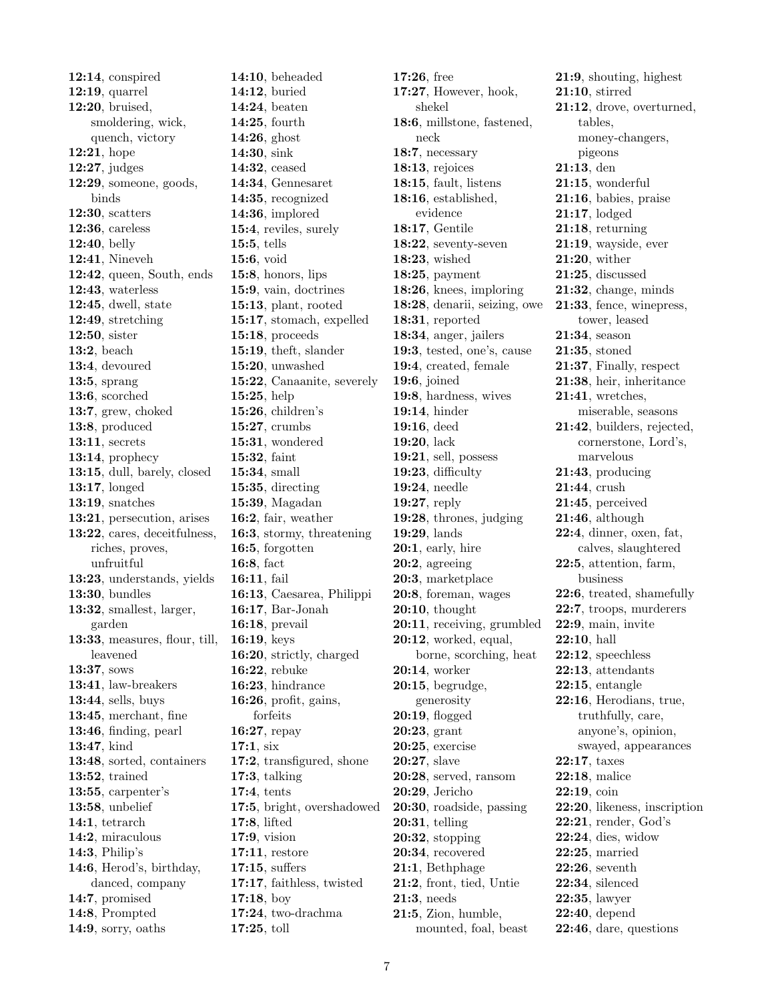12:14, conspired 12:19, quarrel 12:20, bruised, smoldering, wick, quench, victory 12:21, hope 12:27, judges 12:29, someone, goods, binds 12:30, scatters 12:36, careless 12:40, belly 12:41, Nineveh 12:42, queen, South, ends 12:43, waterless 12:45, dwell, state 12:49, stretching 12:50, sister 13:2, beach 13:4, devoured 13:5, sprang 13:6, scorched 13:7, grew, choked 13:8, produced 13:11, secrets 13:14, prophecy 13:15, dull, barely, closed 13:17, longed 13:19, snatches 13:21, persecution, arises 13:22, cares, deceitfulness, riches, proves, unfruitful 13:23, understands, yields 13:30, bundles 13:32, smallest, larger, garden 13:33, measures, flour, till, leavened 13:37, sows 13:41, law-breakers 13:44, sells, buys 13:45, merchant, fine 13:46, finding, pearl 13:47, kind 13:48, sorted, containers 13:52, trained 13:55, carpenter's 13:58, unbelief 14:1, tetrarch 14:2, miraculous 14:3, Philip's 14:6, Herod's, birthday, danced, company 14:7, promised 14:8, Prompted 14:9, sorry, oaths

14:10, beheaded 14:12, buried 14:24, beaten 14:25, fourth 14:26, ghost 14:30, sink 14:32, ceased 14:34, Gennesaret 14:35, recognized 14:36, implored 15:4, reviles, surely 15:5, tells 15:6, void 15:8, honors, lips 15:9, vain, doctrines 15:13, plant, rooted 15:17, stomach, expelled 15:18, proceeds 15:19, theft, slander 15:20, unwashed 15:22, Canaanite, severely 15:25, help 15:26, children's 15:27, crumbs 15:31, wondered 15:32, faint 15:34, small 15:35, directing 15:39, Magadan 16:2, fair, weather 16:3, stormy, threatening 16:5, forgotten 16:8, fact 16:11, fail 16:13, Caesarea, Philippi 16:17, Bar-Jonah 16:18, prevail 16:19, keys 16:20, strictly, charged 16:22, rebuke 16:23, hindrance 16:26, profit, gains, forfeits 16:27, repay 17:1, six 17:2, transfigured, shone 17:3, talking 17:4, tents 17:5, bright, overshadowed 17:8, lifted 17:9, vision 17:11, restore 17:15, suffers 17:17, faithless, twisted 17:18, boy 17:24, two-drachma 17:25, toll

17:26, free 17:27, However, hook, shekel 18:6, millstone, fastened, neck 18:7, necessary 18:13, rejoices 18:15, fault, listens 18:16, established, evidence 18:17, Gentile 18:22, seventy-seven 18:23, wished 18:25, payment 18:26, knees, imploring 18:28, denarii, seizing, owe 18:31, reported 18:34, anger, jailers 19:3, tested, one's, cause 19:4, created, female 19:6, joined 19:8, hardness, wives 19:14, hinder 19:16, deed 19:20, lack 19:21, sell, possess 19:23, difficulty 19:24, needle 19:27, reply 19:28, thrones, judging 19:29, lands 20:1, early, hire 20:2, agreeing 20:3, marketplace 20:8, foreman, wages 20:10, thought 20:11, receiving, grumbled 20:12, worked, equal, borne, scorching, heat 20:14, worker 20:15, begrudge, generosity 20:19, flogged 20:23, grant 20:25, exercise 20:27, slave 20:28, served, ransom 20:29, Jericho 20:30, roadside, passing 20:31, telling 20:32, stopping 20:34, recovered 21:1, Bethphage 21:2, front, tied, Untie 21:3, needs 21:5, Zion, humble, mounted, foal, beast

21:9, shouting, highest 21:10, stirred 21:12, drove, overturned, tables, money-changers, pigeons 21:13, den 21:15, wonderful 21:16, babies, praise 21:17, lodged 21:18, returning 21:19, wayside, ever 21:20, wither 21:25, discussed 21:32, change, minds 21:33, fence, winepress, tower, leased 21:34, season 21:35, stoned 21:37, Finally, respect 21:38, heir, inheritance 21:41, wretches, miserable, seasons 21:42, builders, rejected, cornerstone, Lord's, marvelous 21:43, producing 21:44, crush 21:45, perceived 21:46, although 22:4, dinner, oxen, fat, calves, slaughtered 22:5, attention, farm, business 22:6, treated, shamefully 22:7, troops, murderers 22:9, main, invite 22:10, hall 22:12, speechless 22:13, attendants 22:15, entangle 22:16, Herodians, true, truthfully, care, anyone's, opinion, swayed, appearances 22:17, taxes 22:18, malice 22:19, coin 22:20, likeness, inscription 22:21, render, God's 22:24, dies, widow 22:25, married 22:26, seventh 22:34, silenced 22:35, lawyer 22:40, depend 22:46, dare, questions